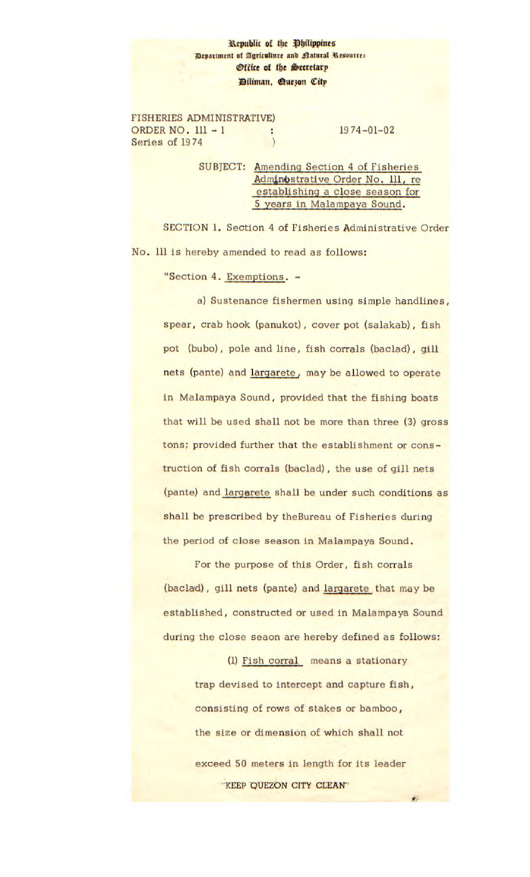## **1cpubUc** of the **PbiUppine Bepartment of Agriculture and Ratural Resources** *<u>Office of the Secretary</u>* tUman, **øueon citp**

FISHERIES ADMINISTRATIVE) ORDER NO. 111 - 1 : 1974-01-02 Series of 1974

SUBJECT: Amending Section 4 of Fisheries Adminostrative Order No. 111, re establishing a close season for 5 years in Malampaya Sound.

SECTION 1. Section 4 of Fisheries Administrative Order No. 111 is hereby amended to read as follows:

"Section 4. Exemptions. -

a) Sustenance fishermen using simple handlines, spear, crab hook (panukot), cover pot (salakab), fish pot (bubo), pole and line, fish corrals (baclad), gill nets (pante) and largarete, may be allowed to operate in Malampaya Sound, provided that the fishing boats that will be used shall not be more than three (3) gross tons; provided further that the establishment or construction of fish corrals (baclad), the use of gill nets (pante) and largarete shall be under such conditions as shall be prescribed by theBureau of Fisheries during the period of close season in Malampaya Sound.

For the purpose of this Order, fish corrals (baclad), gill nets (pante) and largarete that may be established, constructed or used in Malampaya Sound during the close seaon are hereby defined as follows:

> (1) Fish corral means a stationary trap devised to intercept and capture fish, consisting of rows of stakes or bamboo, the size or dimension of which shall not exceed 50 meters in length for its leader 'KEEP QUEZON CITY CLEAN'